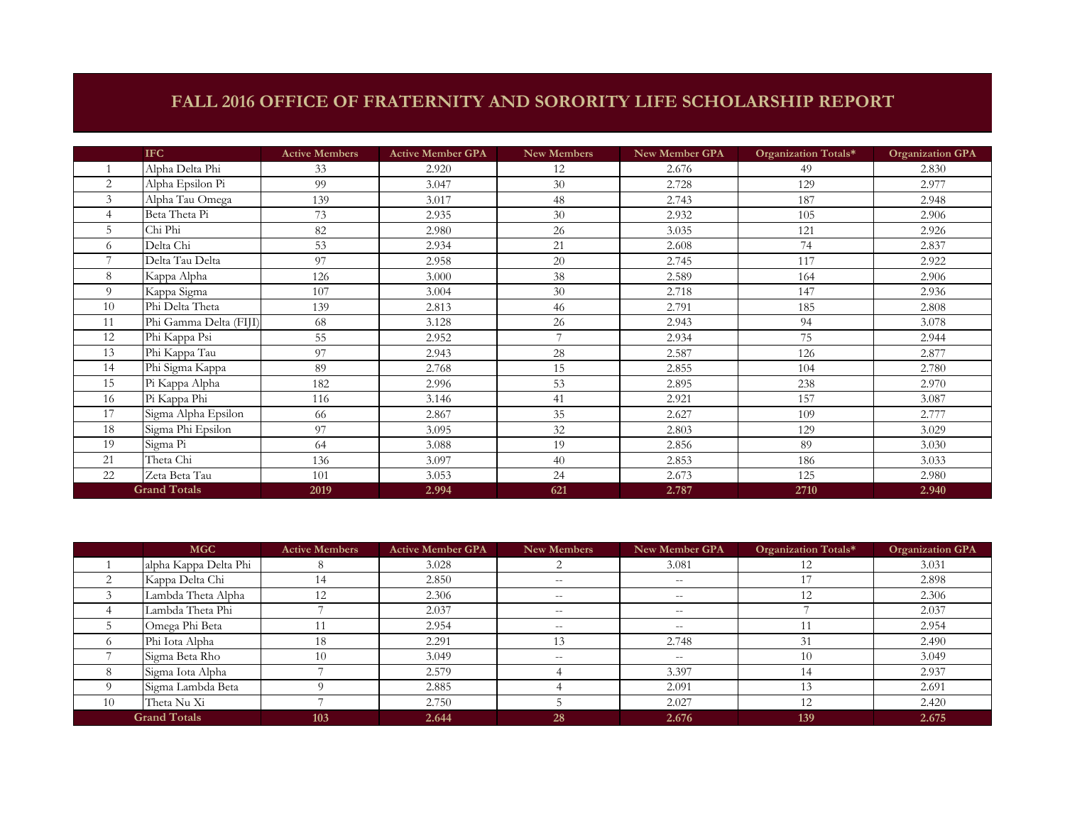## **FALL 2016 OFFICE OF FRATERNITY AND SORORITY LIFE SCHOLARSHIP REPORT**

|                     | <b>IFC</b>             | <b>Active Members</b> | <b>Active Member GPA</b> | New Members    | New Member GPA | Organization Totals* | <b>Organization GPA</b> |
|---------------------|------------------------|-----------------------|--------------------------|----------------|----------------|----------------------|-------------------------|
|                     | Alpha Delta Phi        | 33                    | 2.920                    | 12             | 2.676          | 49                   | 2.830                   |
| 2                   | Alpha Epsilon Pi       | 99                    | 3.047                    | 30             | 2.728          | 129                  | 2.977                   |
| 3                   | Alpha Tau Omega        | 139                   | 3.017                    | 48             | 2.743          | 187                  | 2.948                   |
|                     | Beta Theta Pi          | 73                    | 2.935                    | 30             | 2.932          | 105                  | 2.906                   |
|                     | Chi Phi                | 82                    | 2.980                    | 26             | 3.035          | 121                  | 2.926                   |
| 6                   | Delta Chi              | 53                    | 2.934                    | 21             | 2.608          | 74                   | 2.837                   |
|                     | Delta Tau Delta        | 97                    | 2.958                    | 20             | 2.745          | 117                  | 2.922                   |
| 8                   | Kappa Alpha            | 126                   | 3.000                    | 38             | 2.589          | 164                  | 2.906                   |
| $\Omega$            | Kappa Sigma            | 107                   | 3.004                    | 30             | 2.718          | 147                  | 2.936                   |
| 10                  | Phi Delta Theta        | 139                   | 2.813                    | 46             | 2.791          | 185                  | 2.808                   |
| 11                  | Phi Gamma Delta (FIJI) | 68                    | 3.128                    | 26             | 2.943          | 94                   | 3.078                   |
| 12                  | Phi Kappa Psi          | 55                    | 2.952                    | $\overline{7}$ | 2.934          | 75                   | 2.944                   |
| 13                  | Phi Kappa Tau          | 97                    | 2.943                    | 28             | 2.587          | 126                  | 2.877                   |
| 14                  | Phi Sigma Kappa        | 89                    | 2.768                    | 15             | 2.855          | 104                  | 2.780                   |
| 15                  | Pi Kappa Alpha         | 182                   | 2.996                    | 53             | 2.895          | 238                  | 2.970                   |
| 16                  | Pi Kappa Phi           | 116                   | 3.146                    | 41             | 2.921          | 157                  | 3.087                   |
| 17                  | Sigma Alpha Epsilon    | 66                    | 2.867                    | 35             | 2.627          | 109                  | 2.777                   |
| 18                  | Sigma Phi Epsilon      | 97                    | 3.095                    | 32             | 2.803          | 129                  | 3.029                   |
| 19                  | Sigma Pi               | 64                    | 3.088                    | 19             | 2.856          | 89                   | 3.030                   |
| 21                  | Theta Chi              | 136                   | 3.097                    | 40             | 2.853          | 186                  | 3.033                   |
| 22                  | Zeta Beta Tau          | 101                   | 3.053                    | 24             | 2.673          | 125                  | 2.980                   |
| <b>Grand Totals</b> |                        | 2019                  | 2.994                    | 621            | 2.787          | 2710                 | 2.940                   |

|                     | <b>MGC</b>            | <b>Active Members</b> | <b>Active Member GPA</b> | <b>New Members</b> | New Member GPA | Organization Totals* | <b>Organization GPA</b> |
|---------------------|-----------------------|-----------------------|--------------------------|--------------------|----------------|----------------------|-------------------------|
|                     | alpha Kappa Delta Phi |                       | 3.028                    |                    | 3.081          |                      | 3.031                   |
|                     | Kappa Delta Chi       | 14                    | 2.850                    | $- -$              | $--$           |                      | 2.898                   |
|                     | Lambda Theta Alpha    | 12                    | 2.306                    | $- -$              | $- -$          | 12                   | 2.306                   |
|                     | Lambda Theta Phi      |                       | 2.037                    | $- -$              | $- -$          |                      | 2.037                   |
|                     | Omega Phi Beta        |                       | 2.954                    | $- -$              | $-$            |                      | 2.954                   |
|                     | Phi Iota Alpha        | 18                    | 2.291                    |                    | 2.748          | 31                   | 2.490                   |
|                     | Sigma Beta Rho        | 10                    | 3.049                    | $- -$              | $--$           | 10                   | 3.049                   |
| 8                   | Sigma Iota Alpha      |                       | 2.579                    |                    | 3.397          | 14                   | 2.937                   |
|                     | Sigma Lambda Beta     |                       | 2.885                    |                    | 2.091          |                      | 2.691                   |
| 10                  | Theta Nu Xi           |                       | 2.750                    |                    | 2.027          | 12                   | 2.420                   |
| <b>Grand Totals</b> |                       | 103                   | 2.644                    | 28                 | 2.676          | 139                  | 2.675                   |